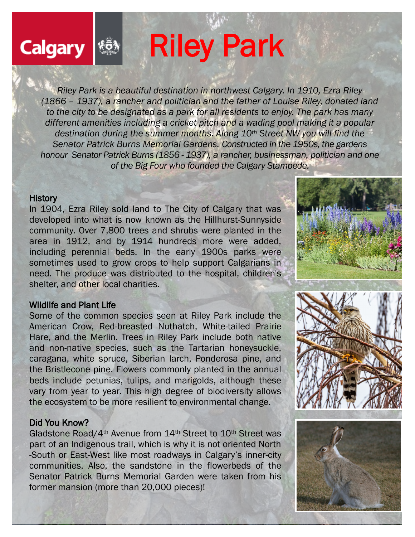# Riley Park

*Riley Park is a beautiful destination in northwest Calgary. In 1910, Ezra Riley (1866 – 1937), a rancher and politician and the father of Louise Riley, donated land to the city to be designated as a park for all residents to enjoy. The park has many different amenities including a cricket pitch and a wading pool making it a popular destination during the summer months. Along 10th Street NW you will find the Senator Patrick Burns Memorial Gardens. Constructed in the 1950s, the gardens honour Senator Patrick Burns (1856 - 1937), a rancher, businessman, politician and one of the Big Four who founded the Calgary Stampede.* 

#### **History**

**Calgary** 

In 1904, Ezra Riley sold land to The City of Calgary that was developed into what is now known as the Hillhurst-Sunnyside community. Over 7,800 trees and shrubs were planted in the area in 1912, and by 1914 hundreds more were added, including perennial beds. In the early 1900s parks were sometimes used to grow crops to help support Calgarians in need. The produce was distributed to the hospital, children's shelter, and other local charities.

#### Wildlife and Plant Life

Some of the common species seen at Riley Park include the American Crow, Red-breasted Nuthatch, White-tailed Prairie Hare, and the Merlin. Trees in Riley Park include both native and non-native species, such as the Tartarian honeysuckle, caragana, white spruce, Siberian larch, Ponderosa pine, and the Bristlecone pine. Flowers commonly planted in the annual beds include petunias, tulips, and marigolds, although these vary from year to year. This high degree of biodiversity allows the ecosystem to be more resilient to environmental change.

#### Did You Know?

Gladstone Road/4th Avenue from 14th Street to 10th Street was part of an Indigenous trail, which is why it is not oriented North -South or East-West like most roadways in Calgary's inner-city communities. Also, the sandstone in the flowerbeds of the Senator Patrick Burns Memorial Garden were taken from his former mansion (more than 20,000 pieces)!



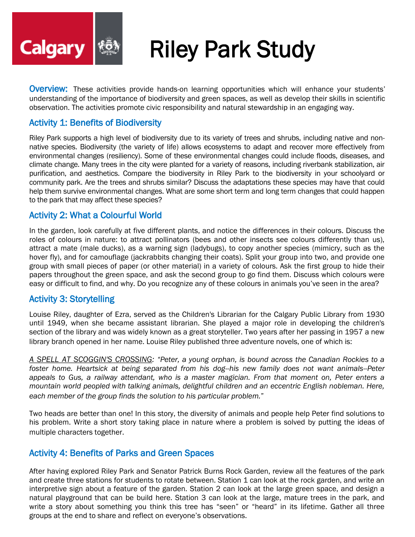

# Riley Park Study

**Overview:** These activities provide hands-on learning opportunities which will enhance your students' understanding of the importance of biodiversity and green spaces, as well as develop their skills in scientific observation. The activities promote civic responsibility and natural stewardship in an engaging way.

#### Activity 1: Benefits of Biodiversity

Riley Park supports a high level of biodiversity due to its variety of trees and shrubs, including native and nonnative species. Biodiversity (the variety of life) allows ecosystems to adapt and recover more effectively from environmental changes (resiliency). Some of these environmental changes could include floods, diseases, and climate change. Many trees in the city were planted for a variety of reasons, including riverbank stabilization, air purification, and aesthetics. Compare the biodiversity in Riley Park to the biodiversity in your schoolyard or community park. Are the trees and shrubs similar? Discuss the adaptations these species may have that could help them survive environmental changes. What are some short term and long term changes that could happen to the park that may affect these species?

#### Activity 2: What a Colourful World

In the garden, look carefully at five different plants, and notice the differences in their colours. Discuss the roles of colours in nature: to attract pollinators (bees and other insects see colours differently than us), attract a mate (male ducks), as a warning sign (ladybugs), to copy another species (mimicry, such as the hover fly), and for camouflage (jackrabbits changing their coats). Split your group into two, and provide one group with small pieces of paper (or other material) in a variety of colours. Ask the first group to hide their papers throughout the green space, and ask the second group to go find them. Discuss which colours were easy or difficult to find, and why. Do you recognize any of these colours in animals you've seen in the area?

#### Activity 3: Storytelling

Louise Riley, daughter of Ezra, served as the Children's Librarian for the Calgary Public Library from 1930 until 1949, when she became assistant librarian. She played a major role in developing the children's section of the library and was widely known as a great storyteller. Two years after her passing in 1957 a new library branch opened in her name. Louise Riley published three adventure novels, one of which is:

*A SPELL AT SCOGGIN'S CROSSING: "Peter, a young orphan, is bound across the Canadian Rockies to a foster home. Heartsick at being separated from his dog--his new family does not want animals--Peter appeals to Gus, a railway attendant, who is a master magician. From that moment on, Peter enters a mountain world peopled with talking animals, delightful children and an eccentric English nobleman. Here, each member of the group finds the solution to his particular problem.*"

Two heads are better than one! In this story, the diversity of animals and people help Peter find solutions to his problem. Write a short story taking place in nature where a problem is solved by putting the ideas of multiple characters together.

#### Activity 4: Benefits of Parks and Green Spaces

After having explored Riley Park and Senator Patrick Burns Rock Garden, review all the features of the park and create three stations for students to rotate between. Station 1 can look at the rock garden, and write an interpretive sign about a feature of the garden. Station 2 can look at the large green space, and design a natural playground that can be build here. Station 3 can look at the large, mature trees in the park, and write a story about something you think this tree has "seen" or "heard" in its lifetime. Gather all three groups at the end to share and reflect on everyone's observations.